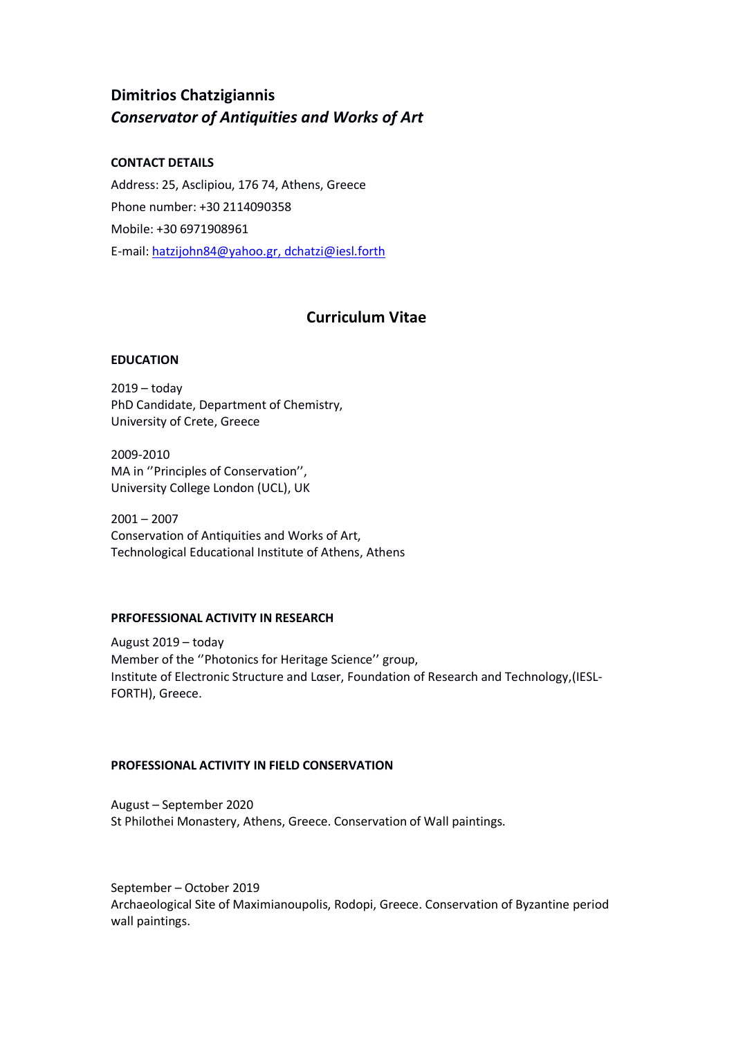# **Dimitrios Chatzigiannis** *Conservator of Antiquities and Works of Art*

# **CONTACT DETAILS**

Address: 25, Asclipiou, 176 74, Athens, Greece Phone number: +30 2114090358 Mobile: +30 6971908961 E-mail[: hatzijohn84@yahoo.gr,](mailto:hatzijohn84@yahoo.gr) dchatzi@iesl.forth

# **[Curriculum Vitae](http://www.google.gr/url?sa=t&source=web&cd=1&ved=0CCIQFjAA&url=http%3A%2F%2Fjobsearch.about.com%2Fod%2Fcurriculumvitae%2FCurriculum_Vitae.htm&ei=-uOuTdTNOcztOa2X4eMB&usg=AFQjCNFWmK790rl0MG1Au_HeqCi0Fq9Clw)**

# **EDUCATION**

2019 – today PhD Candidate, Department of Chemistry, University of Crete, Greece

2009-2010 MA in ''Principles of Conservation'', University College London (UCL), UK

 $2001 - 2007$ Conservation of Antiquities and Works of Art, Technological Educational Institute of Athens, Athens

# **PRFOFESSIONAL ACTIVITY IN RESEARCH**

August 2019 – today Member of the ''Photonics for Heritage Science'' group, Institute of Electronic Structure and Lαser, Foundation of Research and Technology,(IESL-FORTH), Greece.

# **PROFESSIONAL ACTIVITY IN FIELD CONSERVATION**

August – September 2020 St Philothei Monastery, Athens, Greece. Conservation of Wall paintings.

September – October 2019 Archaeological Site of Maximianoupolis, Rodopi, Greece. Conservation of Byzantine period wall paintings.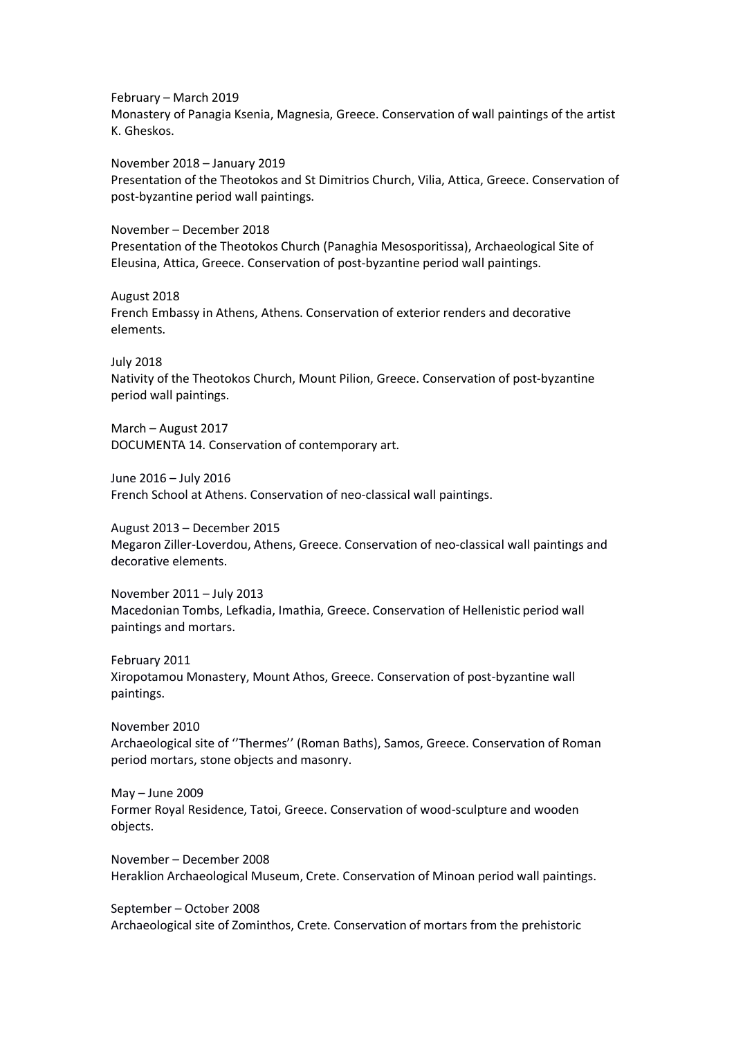February – March 2019 Monastery of Panagia Ksenia, Magnesia, Greece. Conservation of wall paintings of the artist K. Gheskos.

November 2018 – January 2019 Presentation of the Theotokos and St Dimitrios Church, Vilia, Attica, Greece. Conservation of post-byzantine period wall paintings.

November – December 2018 Presentation of the Theotokos Church (Panaghia Mesosporitissa), Archaeological Site of Eleusina, Attica, Greece. Conservation of post-byzantine period wall paintings.

August 2018 French Embassy in Athens, Athens. Conservation of exterior renders and decorative elements.

July 2018

Nativity of the Theotokos Church, Mount Pilion, Greece. Conservation of post-byzantine period wall paintings.

March – August 2017 DOCUMENTA 14. Conservation of contemporary art.

June 2016 – July 2016 French School at Athens. Conservation of neo-classical wall paintings.

August 2013 – December 2015 Megaron Ziller-Loverdou, Athens, Greece. Conservation of neo-classical wall paintings and decorative elements.

November 2011 – July 2013 Macedonian Tombs, Lefkadia, Imathia, Greece. Conservation of Hellenistic period wall paintings and mortars.

February 2011 Xiropotamou Monastery, Mount Athos, Greece. Conservation of post-byzantine wall paintings.

November 2010 Archaeological site of ''Thermes'' (Roman Baths), Samos, Greece. Conservation of Roman period mortars, stone objects and masonry.

May – June 2009 Former Royal Residence, Tatoi, Greece. Conservation of wood-sculpture and wooden objects.

November – December 2008 Heraklion Archaeological Museum, Crete. Conservation of Minoan period wall paintings.

September – October 2008 Archaeological site of Zominthos, Crete. Conservation of mortars from the prehistoric